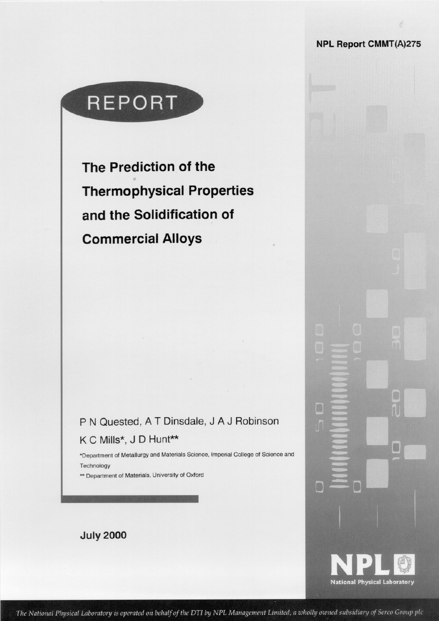**NPL Report CMMT(A)275** 

# REPORT

The Prediction of the **Thermophysical Properties** and the Solidification of **Commercial Alloys** 

## P N Quested, A T Dinsdale, J A J Robinson K C Mills\*, J D Hunt\*\*

\*Department of Metallurgy and Materials Science, Imperial College of Science and Technology

\*\* Department of Materials, University of Oxford

**July 2000** 



B

D

G

The National Physical Laboratory is operated on behalf of the DTI by NPL Management Limited, a wholly owned subsidiary of Serco Group plc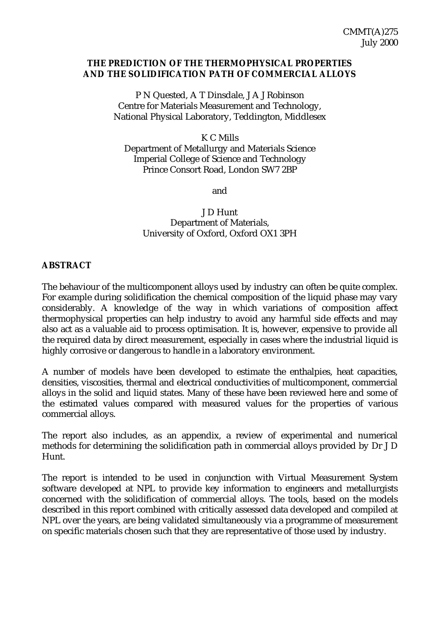#### **THE PREDICTION OF THE THERMOPHYSICAL PROPERTIES AND THE SOLIDIFICATION PATH OF COMMERCIAL ALLOYS**

P N Quested, A T Dinsdale, J A J Robinson Centre for Materials Measurement and Technology, National Physical Laboratory, Teddington, Middlesex

K C Mills

Department of Metallurgy and Materials Science Imperial College of Science and Technology Prince Consort Road, London SW7 2BP

and

J D Hunt Department of Materials, University of Oxford, Oxford OX1 3PH

#### **ABSTRACT**

The behaviour of the multicomponent alloys used by industry can often be quite complex. For example during solidification the chemical composition of the liquid phase may vary considerably. A knowledge of the way in which variations of composition affect thermophysical properties can help industry to avoid any harmful side effects and may also act as a valuable aid to process optimisation. It is, however, expensive to provide all the required data by direct measurement, especially in cases where the industrial liquid is highly corrosive or dangerous to handle in a laboratory environment.

A number of models have been developed to estimate the enthalpies, heat capacities, densities, viscosities, thermal and electrical conductivities of multicomponent, commercial alloys in the solid and liquid states. Many of these have been reviewed here and some of the estimated values compared with measured values for the properties of various commercial alloys.

The report also includes, as an appendix, a review of experimental and numerical methods for determining the solidification path in commercial alloys provided by Dr J D Hunt.

The report is intended to be used in conjunction with Virtual Measurement System software developed at NPL to provide key information to engineers and metallurgists concerned with the solidification of commercial alloys. The tools, based on the models described in this report combined with critically assessed data developed and compiled at NPL over the years, are being validated simultaneously via a programme of measurement on specific materials chosen such that they are representative of those used by industry.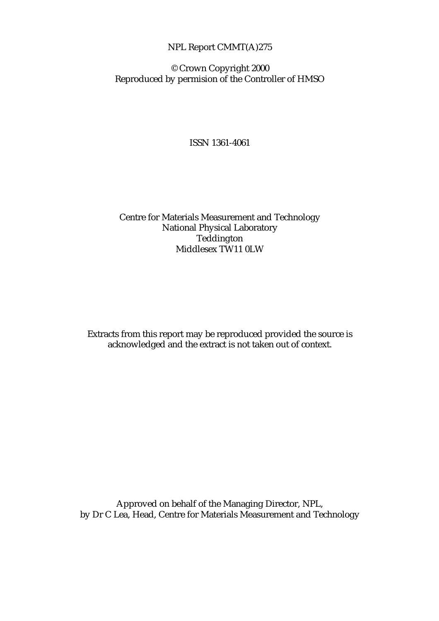## NPL Report CMMT(A)275

© Crown Copyright 2000 Reproduced by permision of the Controller of HMSO

ISSN 1361-4061

## Centre for Materials Measurement and Technology National Physical Laboratory Teddington Middlesex TW11 0LW

Extracts from this report may be reproduced provided the source is acknowledged and the extract is not taken out of context.

Approved on behalf of the Managing Director, NPL, by Dr C Lea, Head, Centre for Materials Measurement and Technology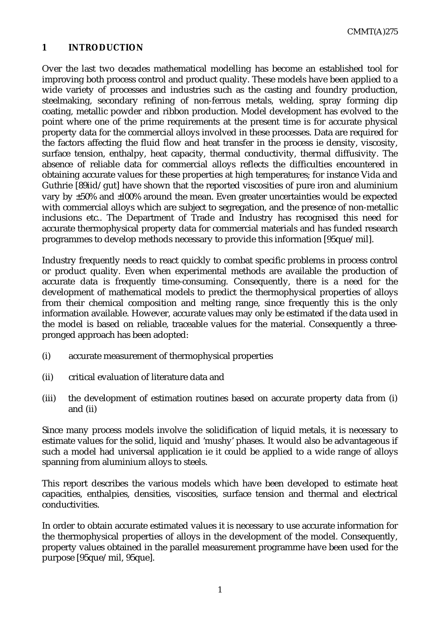## **1 INTRODUCTION**

Over the last two decades mathematical modelling has become an established tool for improving both process control and product quality. These models have been applied to a wide variety of processes and industries such as the casting and foundry production, steelmaking, secondary refining of non-ferrous metals, welding, spray forming dip coating, metallic powder and ribbon production. Model development has evolved to the point where one of the prime requirements at the present time is for accurate physical property data for the commercial alloys involved in these processes. Data are required for the factors affecting the fluid flow and heat transfer in the process ie density, viscosity, surface tension, enthalpy, heat capacity, thermal conductivity, thermal diffusivity. The absence of reliable data for commercial alloys reflects the difficulties encountered in obtaining accurate values for these properties at high temperatures; for instance Vida and Guthrie [89iid/gut] have shown that the reported viscosities of pure iron and aluminium vary by ±50% and ±l00% around the mean. Even greater uncertainties would be expected with commercial alloys which are subject to segregation, and the presence of non-metallic inclusions etc.. The Department of Trade and Industry has recognised this need for accurate thermophysical property data for commercial materials and has funded research programmes to develop methods necessary to provide this information [95que/mil].

Industry frequently needs to react quickly to combat specific problems in process control or product quality. Even when experimental methods are available the production of accurate data is frequently time-consuming. Consequently, there is a need for the development of mathematical models to predict the thermophysical properties of alloys from their chemical composition and melting range, since frequently this is the only information available. However, accurate values may only be estimated if the data used in the model is based on reliable, traceable values for the material. Consequently a threepronged approach has been adopted:

- (i) accurate measurement of thermophysical properties
- (ii) critical evaluation of literature data and
- (iii) the development of estimation routines based on accurate property data from (i) and (ii)

Since many process models involve the solidification of liquid metals, it is necessary to estimate values for the solid, liquid and 'mushy' phases. It would also be advantageous if such a model had universal application ie it could be applied to a wide range of alloys spanning from aluminium alloys to steels.

This report describes the various models which have been developed to estimate heat capacities, enthalpies, densities, viscosities, surface tension and thermal and electrical conductivities.

In order to obtain accurate estimated values it is necessary to use accurate information for the thermophysical properties of alloys in the development of the model. Consequently, property values obtained in the parallel measurement programme have been used for the purpose [95que/mil, 95que].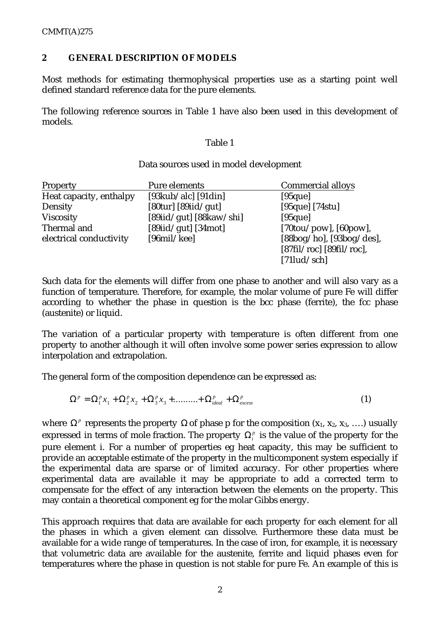## **2 GENERAL DESCRIPTION OF MODELS**

Most methods for estimating thermophysical properties use as a starting point well defined standard reference data for the pure elements.

The following reference sources in Table 1 have also been used in this development of models.

#### Table 1

#### Data sources used in model development

| Property                | Pure elements                           | <b>Commercial alloys</b>                                  |
|-------------------------|-----------------------------------------|-----------------------------------------------------------|
| Heat capacity, enthalpy | $[93kub/alc]$ [91din]                   | $[95$ que]                                                |
| Density                 | $[80 \text{tur}]$ $[89 \text{iid/gut}]$ | $[95que]$ [74stu]                                         |
| <b>Viscosity</b>        | [89iid/gut] $[88kaw/shi]$               | $[95$ que]                                                |
| Thermal and             | $[89\text{i}id/gut]$ $[34\text{mot}]$   | $[70 \text{tou} / \text{pow}]$ , $[60 \text{pow}]$ ,      |
| electrical conductivity | $[96\text{mil/kee}]$                    | $[88bog/ho]$ , $[93bog/des]$ ,                            |
|                         |                                         | $[87\text{fil}/\text{roc}]$ $[89\text{fil}/\text{roc}]$ , |
|                         |                                         | $[71$ lud/sch]                                            |

Such data for the elements will differ from one phase to another and will also vary as a function of temperature. Therefore, for example, the molar volume of pure Fe will differ according to whether the phase in question is the bcc phase (ferrite), the fcc phase (austenite) or liquid.

The variation of a particular property with temperature is often different from one property to another although it will often involve some power series expression to allow interpolation and extrapolation.

The general form of the composition dependence can be expressed as:

$$
\Omega^p = \Omega_1^p x_1 + \Omega_2^p x_2 + \Omega_3^p x_3 + \dots + \Omega_{ideal}^p + \Omega_{excess}^p
$$
 (1)

where  $\Omega^p$  represents the property  $\Omega$  of phase p for the composition  $(x_1, x_2, x_3, \ldots)$  usually expressed in terms of mole fraction. The property  $\Omega_i^p$  is the value of the property for the pure element i. For a number of properties eg heat capacity, this may be sufficient to provide an acceptable estimate of the property in the multicomponent system especially if the experimental data are sparse or of limited accuracy. For other properties where experimental data are available it may be appropriate to add a corrected term to compensate for the effect of any interaction between the elements on the property. This may contain a theoretical component eg for the molar Gibbs energy.

This approach requires that data are available for each property for each element for all the phases in which a given element can dissolve. Furthermore these data must be available for a wide range of temperatures. In the case of iron, for example, it is necessary that volumetric data are available for the austenite, ferrite and liquid phases even for temperatures where the phase in question is not stable for pure Fe. An example of this is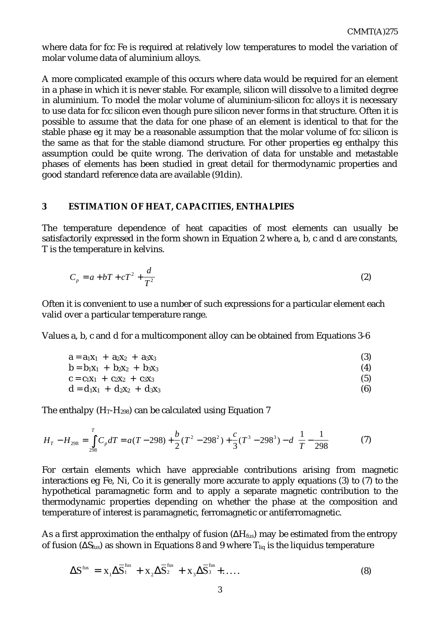where data for fcc Fe is required at relatively low temperatures to model the variation of molar volume data of aluminium alloys.

A more complicated example of this occurs where data would be required for an element in a phase in which it is never stable. For example, silicon will dissolve to a limited degree in aluminium. To model the molar volume of aluminium-silicon fcc alloys it is necessary to use data for fcc silicon even though pure silicon never forms in that structure. Often it is possible to assume that the data for one phase of an element is identical to that for the stable phase eg it may be a reasonable assumption that the molar volume of fcc silicon is the same as that for the stable diamond structure. For other properties eg enthalpy this assumption could be quite wrong. The derivation of data for unstable and metastable phases of elements has been studied in great detail for thermodynamic properties and good standard reference data are available (91din).

#### **3 ESTIMATION OF HEAT, CAPACITIES, ENTHALPIES**

The temperature dependence of heat capacities of most elements can usually be satisfactorily expressed in the form shown in Equation 2 where a, b, c and d are constants, T is the temperature in kelvins.

$$
C_p = a + bT + cT^2 + \frac{d}{T^2} \tag{2}
$$

Often it is convenient to use a number of such expressions for a particular element each valid over a particular temperature range.

Values a, b, c and d for a multicomponent alloy can be obtained from Equations 3-6

$$
a = a_1x_1 + a_2x_2 + a_3x_3 \tag{3}
$$

$$
b = b_1x_1 + b_2x_2 + b_3x_3 \tag{4}
$$

$$
c = c_1 x_1 + c_2 x_2 + c_3 x_3 \tag{5}
$$

$$
d = d_1x_1 + d_2x_2 + d_3x_3 \tag{6}
$$

The enthalpy  $(H_T-H_{298})$  can be calculated using Equation 7

$$
H_T - H_{298} = \int_{298}^{T} C_p dT = a(T - 298) + \frac{b}{2} (T^2 - 298^2) + \frac{c}{3} (T^3 - 298^3) - d \left( \frac{1}{T} - \frac{1}{298} \right)
$$
(7)

For certain elements which have appreciable contributions arising from magnetic interactions eg Fe, Ni, Co it is generally more accurate to apply equations (3) to (7) to the hypothetical paramagnetic form and to apply a separate magnetic contribution to the thermodynamic properties depending on whether the phase at the composition and temperature of interest is paramagnetic, ferromagnetic or antiferromagnetic.

As a first approximation the enthalpy of fusion  $(\Delta H_{fus})$  may be estimated from the entropy of fusion ( $\Delta S_{fus}$ ) as shown in Equations 8 and 9 where T<sub>liq</sub> is the liquidus temperature

$$
\Delta S^{\text{fus}} = X_1 \Delta \overline{S}_1^{\text{fus}} + X_2 \Delta \overline{S}_2^{\text{fus}} + X_3 \Delta \overline{S}_3^{\text{fus}} + \dots \tag{8}
$$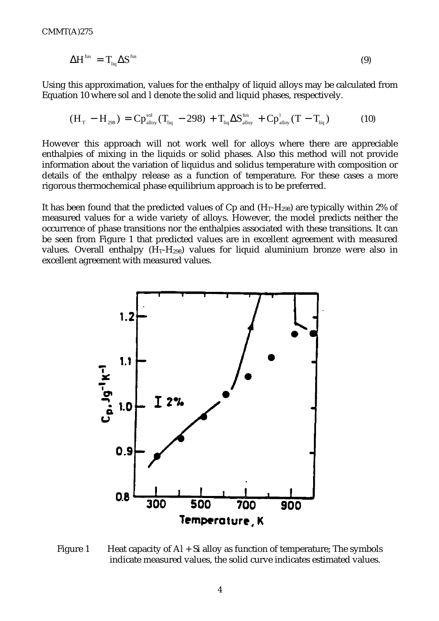$$
\Delta H^{\rm fus} = T_{\rm liq} \Delta S^{\rm fus} \tag{9}
$$

Using this approximation, values for the enthalpy of liquid alloys may be calculated from Equation 10 where sol and l denote the solid and liquid phases, respectively.

$$
(H_T - H_{298}) = Cp_{\text{alloy}}^{\text{sol}}(T_{\text{liq}} - 298) + T_{\text{liq}}\Delta S_{\text{alloy}}^{\text{fus}} + Cp_{\text{alloy}}^{\text{l}}(T - T_{\text{liq}})
$$
(10)

However this approach will not work well for alloys where there are appreciable enthalpies of mixing in the liquids or solid phases. Also this method will not provide information about the variation of liquidus and solidus temperature with composition or details of the enthalpy release as a function of temperature. For these cases a more rigorous thermochemical phase equilibrium approach is to be preferred.

It has been found that the predicted values of Cp and  $(H_T-H_{298})$  are typically within 2% of measured values for a wide variety of alloys. However, the model predicts neither the occurrence of phase transitions nor the enthalpies associated with these transitions. It can be seen from Figure 1 that predicted values are in excellent agreement with measured values. Overall enthalpy  $(H_T-H_{298})$  values for liquid aluminium bronze were also in excellent agreement with measured values.



Figure 1 Heat capacity of  $AI + Si$  alloy as function of temperature; The symbols indicate measured values, the solid curve indicates estimated values.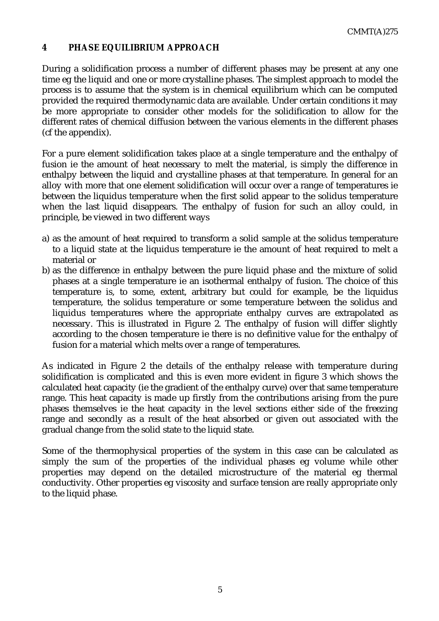## **4 PHASE EQUILIBRIUM APPROACH**

During a solidification process a number of different phases may be present at any one time eg the liquid and one or more crystalline phases. The simplest approach to model the process is to assume that the system is in chemical equilibrium which can be computed provided the required thermodynamic data are available. Under certain conditions it may be more appropriate to consider other models for the solidification to allow for the different rates of chemical diffusion between the various elements in the different phases (cf the appendix).

For a pure element solidification takes place at a single temperature and the enthalpy of fusion ie the amount of heat necessary to melt the material, is simply the difference in enthalpy between the liquid and crystalline phases at that temperature. In general for an alloy with more that one element solidification will occur over a range of temperatures ie between the liquidus temperature when the first solid appear to the solidus temperature when the last liquid disappears. The enthalpy of fusion for such an alloy could, in principle, be viewed in two different ways

- a) as the amount of heat required to transform a solid sample at the solidus temperature to a liquid state at the liquidus temperature ie the amount of heat required to melt a material or
- b) as the difference in enthalpy between the pure liquid phase and the mixture of solid phases at a single temperature ie an isothermal enthalpy of fusion. The choice of this temperature is, to some, extent, arbitrary but could for example, be the liquidus temperature, the solidus temperature or some temperature between the solidus and liquidus temperatures where the appropriate enthalpy curves are extrapolated as necessary. This is illustrated in Figure 2. The enthalpy of fusion will differ slightly according to the chosen temperature ie there is no definitive value for the enthalpy of fusion for a material which melts over a range of temperatures.

As indicated in Figure 2 the details of the enthalpy release with temperature during solidification is complicated and this is even more evident in figure 3 which shows the calculated heat capacity (ie the gradient of the enthalpy curve) over that same temperature range. This heat capacity is made up firstly from the contributions arising from the pure phases themselves ie the heat capacity in the level sections either side of the freezing range and secondly as a result of the heat absorbed or given out associated with the gradual change from the solid state to the liquid state.

Some of the thermophysical properties of the system in this case can be calculated as simply the sum of the properties of the individual phases eg volume while other properties may depend on the detailed microstructure of the material eg thermal conductivity. Other properties eg viscosity and surface tension are really appropriate only to the liquid phase.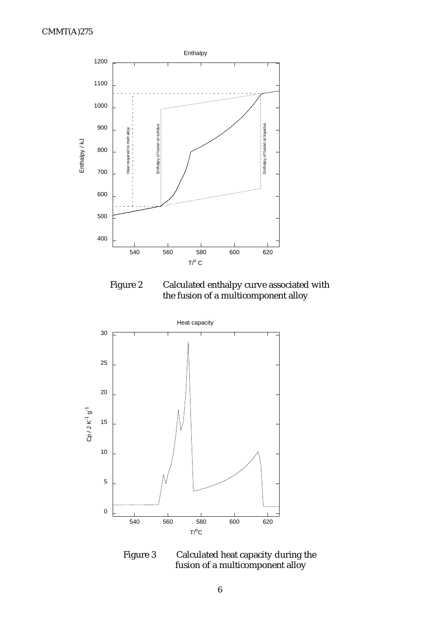

Figure 2 Calculated enthalpy curve associated with the fusion of a multicomponent alloy



Figure 3 Calculated heat capacity during the fusion of a multicomponent alloy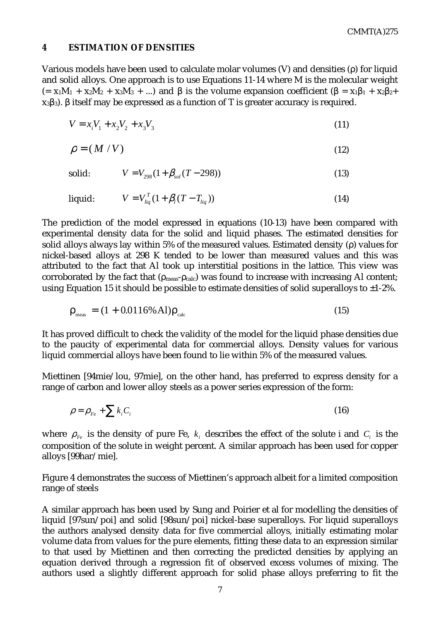#### **4 ESTIMATION OF DENSITIES**

Various models have been used to calculate molar volumes (V) and densities (ρ) for liquid and solid alloys. One approach is to use Equations 11-14 where M is the molecular weight (=  $x_1M_1 + x_2M_2 + x_3M_3 + ...$ ) and  $\beta$  is the volume expansion coefficient ( $\beta = x_1\beta_1 + x_2\beta_2 + ...$ )  $x_3\beta_3$ ). β itself may be expressed as a function of T is greater accuracy is required.

$$
V = x_i V_1 + x_2 V_2 + x_3 V_3 \tag{11}
$$

$$
\rho = (M/V) \tag{12}
$$

$$
V = V_{298}(1 + \beta_{sol}(T - 298))
$$
\n(13)

liquid: 
$$
V = V_{liq}^T (1 + \beta_l (T - T_{liq}))
$$
 (14)

The prediction of the model expressed in equations (10-13) have been compared with experimental density data for the solid and liquid phases. The estimated densities for solid alloys always lay within 5% of the measured values. Estimated density (ρ) values for nickel-based alloys at 298 K tended to be lower than measured values and this was attributed to the fact that Al took up interstitial positions in the lattice. This view was corroborated by the fact that ( $\rho_{\text{meas}}$ - $\rho_{\text{calc}}$ ) was found to increase with increasing Al content; using Equation 15 it should be possible to estimate densities of solid superalloys to  $\pm 1$ -2%.

$$
\rho_{\text{meas}} = (1 + 0.0116\% \,\text{Al})\rho_{\text{calc}} \tag{15}
$$

It has proved difficult to check the validity of the model for the liquid phase densities due to the paucity of experimental data for commercial alloys. Density values for various liquid commercial alloys have been found to lie within 5% of the measured values.

Miettinen [94mie/lou, 97mie], on the other hand, has preferred to express density for a range of carbon and lower alloy steels as a power series expression of the form:

$$
\rho = \rho_{Fe} + \sum k_i C_i \tag{16}
$$

where  $\rho_{F_e}$  is the density of pure Fe,  $k_i$  describes the effect of the solute i and  $C_i$  is the composition of the solute in weight percent. A similar approach has been used for copper alloys [99har/mie].

Figure 4 demonstrates the success of Miettinen's approach albeit for a limited composition range of steels

A similar approach has been used by Sung and Poirier et al for modelling the densities of liquid [97sun/poi] and solid [98sun/poi] nickel-base superalloys. For liquid superalloys the authors analysed density data for five commercial alloys, initially estimating molar volume data from values for the pure elements, fitting these data to an expression similar to that used by Miettinen and then correcting the predicted densities by applying an equation derived through a regression fit of observed excess volumes of mixing. The authors used a slightly different approach for solid phase alloys preferring to fit the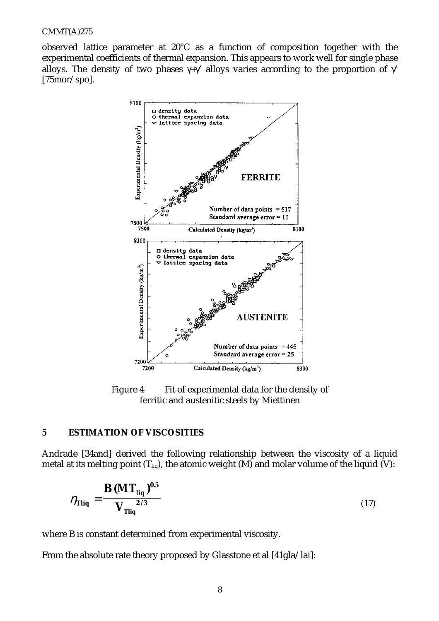observed lattice parameter at 20°C as a function of composition together with the experimental coefficients of thermal expansion. This appears to work well for single phase alloys. The density of two phases  $\gamma + \gamma'$  alloys varies according to the proportion of  $\gamma'$ [75mor/spo].



Figure 4 Fit of experimental data for the density of ferritic and austenitic steels by Miettinen

#### **5 ESTIMATION OF VISCOSITIES**

Andrade [34and] derived the following relationship between the viscosity of a liquid metal at its melting point  $(T_{liq})$ , the atomic weight (M) and molar volume of the liquid (V):

$$
\eta_{\text{Tliq}} = \frac{\text{B (MT}_{\text{liq}})^{0.5}}{V_{\text{Tliq}}} \tag{17}
$$

where B is constant determined from experimental viscosity.

From the absolute rate theory proposed by Glasstone et al [41gla/lai]: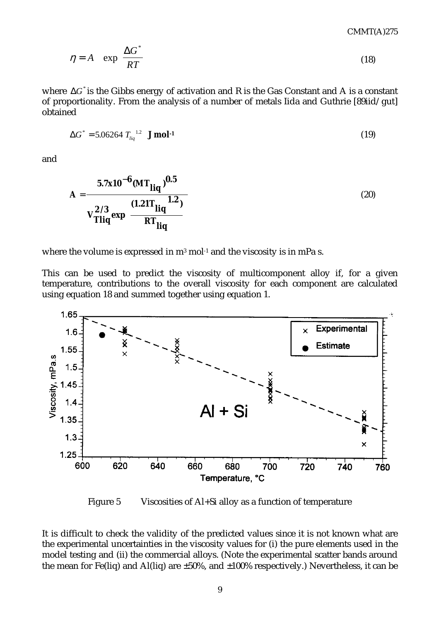$$
\eta = A \quad \exp\left(\frac{\Delta G^*}{RT}\right) \tag{18}
$$

where ∆*G*\* is the Gibbs energy of activation and R is the Gas Constant and A is a constant of proportionality. From the analysis of a number of metals Iida and Guthrie [89iid/gut] obtained

$$
\Delta G^* = 5.06264 T_{liq}^{1.2} \text{ J mol}^{-1} \tag{19}
$$

and

$$
A = \frac{5.7x10^{-6} (MT_{liq})^{0.5}}{v_{Tliq}^{2/3} exp \left\{ \frac{(1.21T_{liq})}{RT_{liq}} \right\}}
$$
(20)

where the volume is expressed in  $m^3$  mol<sup>-1</sup> and the viscosity is in mPa s.

This can be used to predict the viscosity of multicomponent alloy if, for a given temperature, contributions to the overall viscosity for each component are calculated using equation 18 and summed together using equation 1.



Figure 5 Viscosities of Al+Si alloy as a function of temperature

It is difficult to check the validity of the predicted values since it is not known what are the experimental uncertainties in the viscosity values for (i) the pure elements used in the model testing and (ii) the commercial alloys. (Note the experimental scatter bands around the mean for Fe(liq) and Al(liq) are ±50%, and ±100% respectively.) Nevertheless, it can be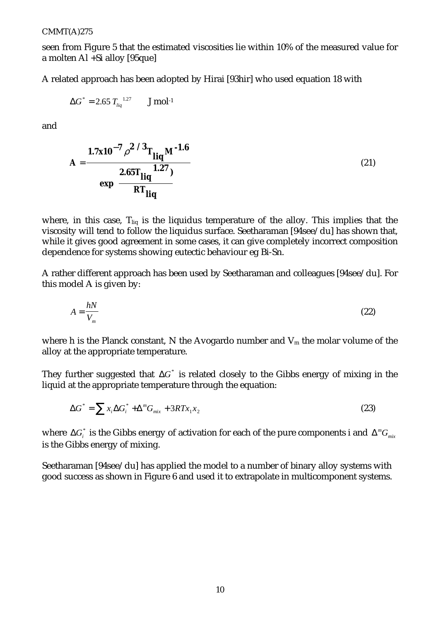seen from Figure 5 that the estimated viscosities lie within 10% of the measured value for a molten Al +Si alloy [95que]

A related approach has been adopted by Hirai [93hir] who used equation 18 with

$$
\Delta G^*
$$
 = 2.65  $T_{liq}^{1.27}$  J mol<sup>-1</sup>

and

$$
A = \frac{1.7x10^{-7} \rho^{2/3} T_{liq} M^{-1.6}}{exp \left\{ \frac{2.65 T_{liq}}{RT_{liq}} \right\}}
$$
(21)

where, in this case,  $T_{liq}$  is the liquidus temperature of the alloy. This implies that the viscosity will tend to follow the liquidus surface. Seetharaman [94see/du] has shown that, while it gives good agreement in some cases, it can give completely incorrect composition dependence for systems showing eutectic behaviour eg Bi-Sn.

A rather different approach has been used by Seetharaman and colleagues [94see/du]. For this model A is given by:

$$
A = \frac{hN}{V_m} \tag{22}
$$

where h is the Planck constant, N the Avogardo number and  $V_m$  the molar volume of the alloy at the appropriate temperature.

They further suggested that ∆*G*\* is related closely to the Gibbs energy of mixing in the liquid at the appropriate temperature through the equation:

$$
\Delta G^* = \sum x_i \Delta G_i^* + \Delta^m G_{mix} + 3RTx_1x_2 \tag{23}
$$

where  $\Delta G^*_i$  is the Gibbs energy of activation for each of the pure components i and  $\Delta^m G_{_{mix}}$ is the Gibbs energy of mixing.

Seetharaman [94see/du] has applied the model to a number of binary alloy systems with good success as shown in Figure 6 and used it to extrapolate in multicomponent systems.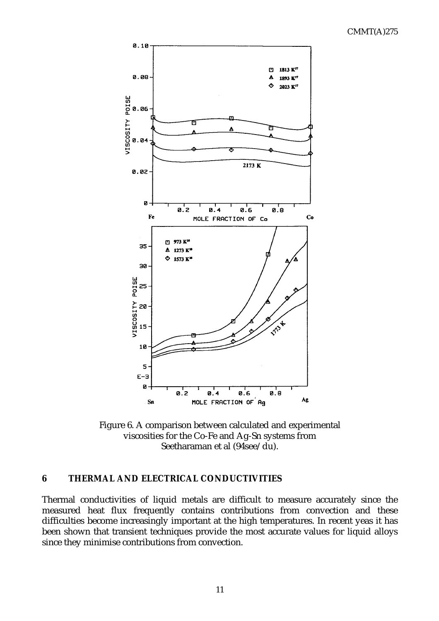

Figure 6. A comparison between calculated and experimental viscosities for the Co-Fe and Ag-Sn systems from Seetharaman et al (94see/du).

#### **6 THERMAL AND ELECTRICAL CONDUCTIVITIES**

Thermal conductivities of liquid metals are difficult to measure accurately since the measured heat flux frequently contains contributions from convection and these difficulties become increasingly important at the high temperatures. In recent yeas it has been shown that transient techniques provide the most accurate values for liquid alloys since they minimise contributions from convection.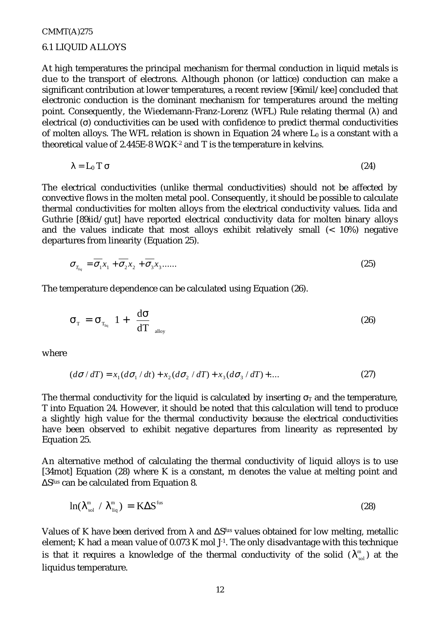## CMMT(A)275 6.1 LIQUID ALLOYS

At high temperatures the principal mechanism for thermal conduction in liquid metals is due to the transport of electrons. Although phonon (or lattice) conduction can make a significant contribution at lower temperatures, a recent review [96mil/kee] concluded that electronic conduction is the dominant mechanism for temperatures around the melting point. Consequently, the Wiedemann-Franz-Lorenz (WFL) Rule relating thermal (λ) and electrical (σ) conductivities can be used with confidence to predict thermal conductivities of molten alloys. The WFL relation is shown in Equation 24 where  $L_0$  is a constant with a theoretical value of 2.445E-8 WΩK<sup>-2</sup> and T is the temperature in kelvins.

$$
\lambda = L_0 T \sigma \tag{24}
$$

The electrical conductivities (unlike thermal conductivities) should not be affected by convective flows in the molten metal pool. Consequently, it should be possible to calculate thermal conductivities for molten alloys from the electrical conductivity values. Iida and Guthrie [89iid/gut] have reported electrical conductivity data for molten binary alloys and the values indicate that most alloys exhibit relatively small (< 10%) negative departures from linearity (Equation 25).

$$
\sigma_{T_{liq}} = \overline{\sigma_1} x_1 + \overline{\sigma_2} x_2 + \overline{\sigma_3} x_3 \dots \dots \tag{25}
$$

The temperature dependence can be calculated using Equation (26).

$$
\sigma_{\rm T} = \sigma_{\rm T_{\rm liq}} \left( 1 + \left( \frac{\rm d\sigma}{\rm d\rm T} \right)_{\rm alloy} \right) \tag{26}
$$

where

$$
(d\sigma/dT) = x_1(d\sigma_1/dt) + x_2(d\sigma_2/dT) + x_3(d\sigma_3/dT) + \dots
$$
\n(27)

The thermal conductivity for the liquid is calculated by inserting  $\sigma_T$  and the temperature, T into Equation 24. However, it should be noted that this calculation will tend to produce a slightly high value for the thermal conductivity because the electrical conductivities have been observed to exhibit negative departures from linearity as represented by Equation 25.

An alternative method of calculating the thermal conductivity of liquid alloys is to use [34mot] Equation (28) where K is a constant, m denotes the value at melting point and ∆S<sup>fus</sup> can be calculated from Equation 8.

$$
\ln(\lambda_{\rm sol}^{\rm m} / \lambda_{\rm liq}^{\rm m}) = \text{K} \Delta \text{S}^{\rm fus} \tag{28}
$$

Values of K have been derived from λ and ∆Sfus values obtained for low melting, metallic element; K had a mean value of 0.073 K mol J-1. The only disadvantage with this technique is that it requires a knowledge of the thermal conductivity of the solid  $(\lambda_{\rm sol}^{\rm m})$  at the liquidus temperature.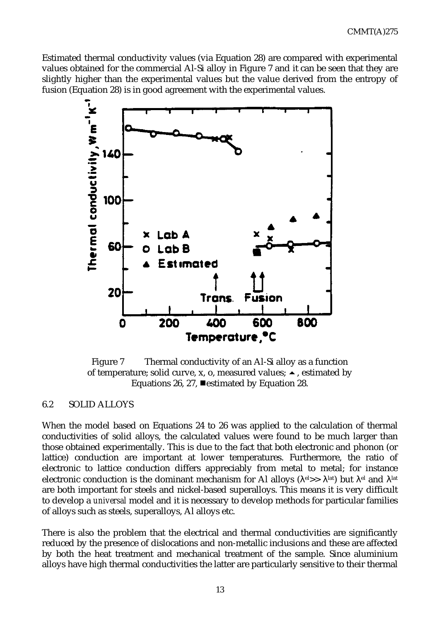Estimated thermal conductivity values (via Equation 28) are compared with experimental values obtained for the commercial Al-Si alloy in Figure 7 and it can be seen that they are slightly higher than the experimental values but the value derived from the entropy of fusion (Equation 28) is in good agreement with the experimental values.



Figure 7 Thermal conductivity of an Al-Si alloy as a function of temperature; solid curve, x, o, measured values;  $\blacktriangle$ , estimated by Equations 26, 27,  $\blacksquare$  estimated by Equation 28.

#### 6.2 SOLID ALLOYS

When the model based on Equations 24 to 26 was applied to the calculation of thermal conductivities of solid alloys, the calculated values were found to be much larger than those obtained experimentally. This is due to the fact that both electronic and phonon (or lattice) conduction are important at lower temperatures. Furthermore, the ratio of electronic to lattice conduction differs appreciably from metal to metal; for instance electronic conduction is the dominant mechanism for Al alloys ( $\lambda^{el}$ >>  $\lambda^{lat}$ ) but  $\lambda^{el}$  and  $\lambda^{lat}$ are both important for steels and nickel-based superalloys. This means it is very difficult to develop a *universal* model and it is necessary to develop methods for particular families of alloys such as steels, superalloys, Al alloys etc.

There is also the problem that the electrical and thermal conductivities are significantly reduced by the presence of dislocations and non-metallic inclusions and these are affected by both the heat treatment and mechanical treatment of the sample. Since aluminium alloys have high thermal conductivities the latter are particularly sensitive to their thermal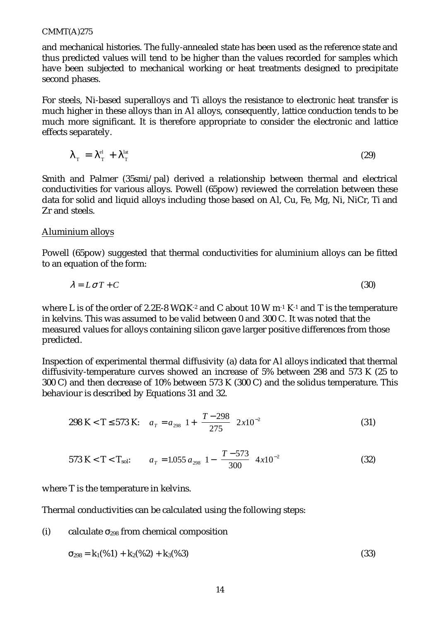and mechanical histories. The fully-annealed state has been used as the reference state and thus predicted values will tend to be higher than the values recorded for samples which have been subjected to mechanical working or heat treatments designed to precipitate second phases.

For steels, Ni-based superalloys and Ti alloys the resistance to electronic heat transfer is much higher in these alloys than in Al alloys, consequently, lattice conduction tends to be much more significant. It is therefore appropriate to consider the electronic and lattice effects separately.

$$
\lambda_{\rm T} = \lambda_{\rm T}^{\rm el} + \lambda_{\rm T}^{\rm lat} \tag{29}
$$

Smith and Palmer (35smi/pal) derived a relationship between thermal and electrical conductivities for various alloys. Powell (65pow) reviewed the correlation between these data for solid and liquid alloys including those based on Al, Cu, Fe, Mg, Ni, NiCr, Ti and Zr and steels.

#### Aluminium alloys

Powell (65pow) suggested that thermal conductivities for aluminium alloys can be fitted to an equation of the form:

$$
\lambda = L \sigma T + C \tag{30}
$$

where L is of the order of 2.2E-8 WΩK<sup>-2</sup> and C about 10 W m<sup>-1</sup> K<sup>-1</sup> and T is the temperature in kelvins. This was assumed to be valid between 0 and 300 C. It was noted that the measured values for alloys containing silicon gave larger positive differences from those predicted.

Inspection of experimental thermal diffusivity (a) data for Al alloys indicated that thermal diffusivity-temperature curves showed an increase of 5% between 298 and 573 K (25 to 300 C) and then decrease of 10% between 573 K (300 C) and the solidus temperature. This behaviour is described by Equations 31 and 32.

$$
298 \text{ K} < \text{T} \le 573 \text{ K}; \quad a_T = a_{298} \left[ 1 + \left( \frac{T - 298}{275} \right) 2 \times 10^{-2} \right] \tag{31}
$$

$$
573 \text{ K} < \text{T} < \text{T}_{\text{sol}}: \qquad a_{\text{T}} = 1.055 \ a_{298} \bigg[ 1 - \bigg( \frac{T - 573}{300} \bigg) 4 \, \text{x} 10^{-2} \bigg] \tag{32}
$$

where T is the temperature in kelvins.

Thermal conductivities can be calculated using the following steps:

(i) calculate  $\sigma_{298}$  from chemical composition

$$
\sigma_{298} = k_1(\%1) + k_2(\%2) + k_3(\%3)
$$
\n(33)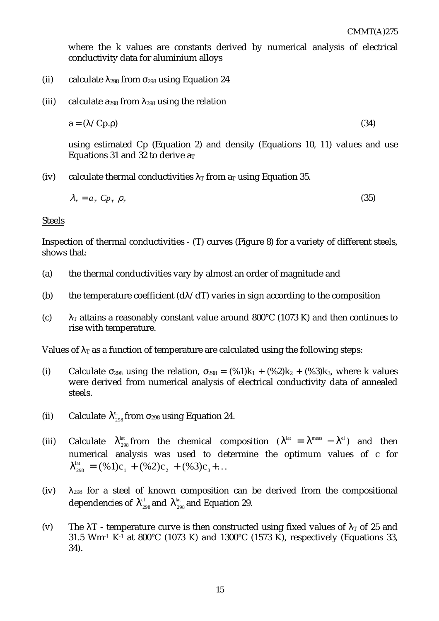where the k values are constants derived by numerical analysis of electrical conductivity data for aluminium alloys

- (ii) calculate  $\lambda_{298}$  from  $\sigma_{298}$  using Equation 24
- (iii) calculate  $a_{298}$  from  $\lambda_{298}$  using the relation

$$
a = (\lambda / C p. \rho) \tag{34}
$$

using estimated Cp (Equation 2) and density (Equations 10, 11) values and use Equations 31 and 32 to derive  $a_T$ 

(iv) calculate thermal conductivities  $\lambda_T$  from  $a_T$  using Equation 35.

$$
\lambda_T = a_T \; C p_T \; \rho_T \tag{35}
$$

#### Steels

Inspection of thermal conductivities - (T) curves (Figure 8) for a variety of different steels, shows that:

- (a) the thermal conductivities vary by almost an order of magnitude and
- (b) the temperature coefficient  $(d\lambda/dT)$  varies in sign according to the composition
- (c)  $\lambda_T$  attains a reasonably constant value around 800°C (1073 K) and then continues to rise with temperature.

Values of  $\lambda$ <sub>T</sub> as a function of temperature are calculated using the following steps:

- (i) Calculate  $\sigma_{298}$  using the relation,  $\sigma_{298} = (\%1)k_1 + (\%2)k_2 + (\%3)k_3$ , where k values were derived from numerical analysis of electrical conductivity data of annealed steels.
- (ii) Calculate  $\lambda_{298}^{el}$  from  $\sigma_{298}$  using Equation 24.
- (iii) Calculate  $\lambda_{298}^{lat}$  from the chemical composition  $(\lambda^{lat} = \lambda^{meas} \lambda^{el})$  and then numerical analysis was used to determine the optimum values of c for  $\lambda_{298}^{\text{lat}} = (\%1) c_1 + (\%2) c_2 + (\%3) c_3 + \dots$
- (iv)  $\lambda_{298}$  for a steel of known composition can be derived from the compositional dependencies of  $\lambda_{\scriptscriptstyle 298}^{\scriptscriptstyle \rm el}$  and  $\lambda_{\scriptscriptstyle 298}^{\scriptscriptstyle \rm lat}$  and Equation 29.
- (v) The  $\lambda$ T temperature curve is then constructed using fixed values of  $\lambda$ <sub>T</sub> of 25 and 31.5 Wm<sup>-1</sup> K<sup>-1</sup> at 800°C (1073 K) and 1300°C (1573 K), respectively (Equations 33, 34).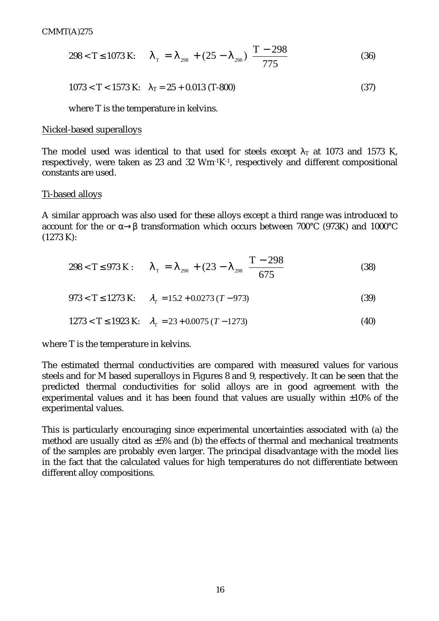$$
298 < T \le 1073 \text{ K:} \qquad \lambda_{\text{T}} = \lambda_{298} + (25 - \lambda_{298}) \left( \frac{T - 298}{775} \right) \tag{36}
$$

$$
1073 < T < 1573 \text{ K}: \quad \lambda_T = 25 + 0.013 \text{ (T-800)} \tag{37}
$$

where T is the temperature in kelvins.

#### Nickel-based superalloys

The model used was identical to that used for steels except  $\lambda_T$  at 1073 and 1573 K, respectively, were taken as 23 and 32  $Wm-1K-1$ , respectively and different compositional constants are used.

#### Ti-based alloys

A similar approach was also used for these alloys except a third range was introduced to account for the or α→β transformation which occurs between 700°C (973K) and 1000°C (1273 K):

$$
298 < T \le 973 \text{ K}: \qquad \lambda_{\text{T}} = \lambda_{298} + (23 - \lambda_{298} \left( \frac{T - 298}{675} \right) \tag{38}
$$

$$
973 < T \le 1273 \text{ K}; \qquad \lambda_T = 15.2 + 0.0273 \, (T - 973) \tag{39}
$$

$$
1273 < T \le 1923 \text{ K}; \quad \lambda_T = 23 + 0.0075 \, (T - 1273) \tag{40}
$$

where T is the temperature in kelvins.

The estimated thermal conductivities are compared with measured values for various steels and for M based superalloys in Figures 8 and 9, respectively. It can be seen that the predicted thermal conductivities for solid alloys are in good agreement with the experimental values and it has been found that values are usually within ±10% of the experimental values.

This is particularly encouraging since experimental uncertainties associated with (a) the method are usually cited as ±5% and (b) the effects of thermal and mechanical treatments of the samples are probably even larger. The principal disadvantage with the model lies in the fact that the calculated values for high temperatures do not differentiate between different alloy compositions.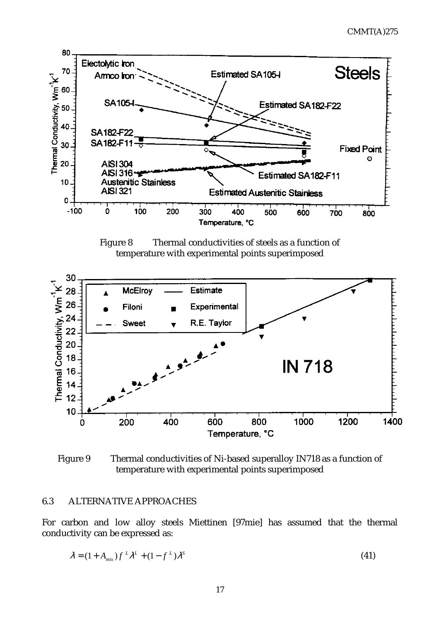

Figure 8 Thermal conductivities of steels as a function of temperature with experimental points superimposed

![](_page_19_Figure_3.jpeg)

Figure 9 Thermal conductivities of Ni-based superalloy IN718 as a function of temperature with experimental points superimposed

#### 6.3 ALTERNATIVE APPROACHES

For carbon and low alloy steels Miettinen [97mie] has assumed that the thermal conductivity can be expressed as:

$$
\lambda = (1 + A_{\text{mix}}) f^L \lambda^L + (1 - f^L) \lambda^S
$$
\n(41)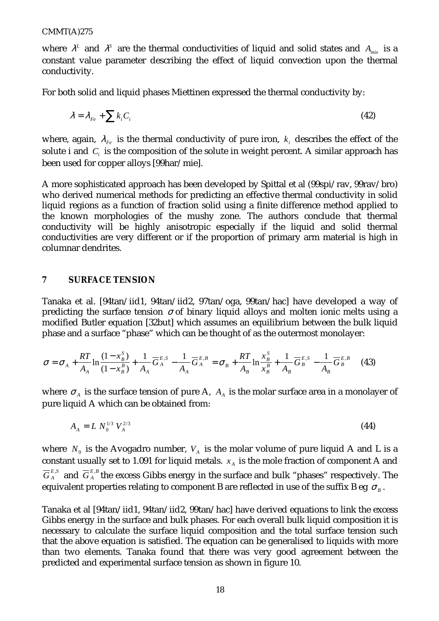where  $\lambda^L$  and  $\lambda^S$  are the thermal conductivities of liquid and solid states and  $A_{mix}$  is a constant value parameter describing the effect of liquid convection upon the thermal conductivity.

For both solid and liquid phases Miettinen expressed the thermal conductivity by:

$$
\lambda = \lambda_{Fe} + \sum k_i C_i \tag{42}
$$

where, again,  $\lambda_{Fe}$  is the thermal conductivity of pure iron,  $k_i$  describes the effect of the solute i and  $C<sub>i</sub>$  is the composition of the solute in weight percent. A similar approach has been used for copper alloys [99har/mie].

A more sophisticated approach has been developed by Spittal et al (99spi/rav, 99rav/bro) who derived numerical methods for predicting an effective thermal conductivity in solid liquid regions as a function of fraction solid using a finite difference method applied to the known morphologies of the mushy zone. The authors conclude that thermal conductivity will be highly anisotropic especially if the liquid and solid thermal conductivities are very different or if the proportion of primary arm material is high in columnar dendrites.

#### **7 SURFACE TENSION**

Tanaka et al. [94tan/iid1, 94tan/iid2, 97tan/oga, 99tan/hac] have developed a way of predicting the surface tension  $\sigma$  of binary liquid alloys and molten ionic melts using a modified Butler equation [32but] which assumes an equilibrium between the bulk liquid phase and a surface "phase" which can be thought of as the outermost monolayer:

$$
\sigma = \sigma_A + \frac{RT}{A_A} \ln \frac{(1 - x^S_B)}{(1 - x^B_B)} + \frac{1}{A_A} \overline{G}^{E,S}_A - \frac{1}{A_A} \overline{G}^{E,B}_A = \sigma_B + \frac{RT}{A_B} \ln \frac{x^S_B}{x^B_B} + \frac{1}{A_B} \overline{G}^{E,S}_B - \frac{1}{A_B} \overline{G}^{E,B}_B \tag{43}
$$

where  $\sigma_A$  is the surface tension of pure A,  $A_A$  is the molar surface area in a monolayer of pure liquid A which can be obtained from:

$$
A_A = L N_0^{1/3} V_A^{2/3} \tag{44}
$$

where  $N_0$  is the Avogadro number,  $V_A$  is the molar volume of pure liquid A and L is a constant usually set to 1.091 for liquid metals.  $x_A$  is the mole fraction of component A and  $\overline{G}^{E,S}_A$  and  $\overline{G}^{E,B}_A$  the excess Gibbs energy in the surface and bulk "phases" respectively. The equivalent properties relating to component B are reflected in use of the suffix B eg  $\sigma_B$ .

Tanaka et al [94tan/iid1, 94tan/iid2, 99tan/hac] have derived equations to link the excess Gibbs energy in the surface and bulk phases. For each overall bulk liquid composition it is necessary to calculate the surface liquid composition and the total surface tension such that the above equation is satisfied. The equation can be generalised to liquids with more than two elements. Tanaka found that there was very good agreement between the predicted and experimental surface tension as shown in figure 10.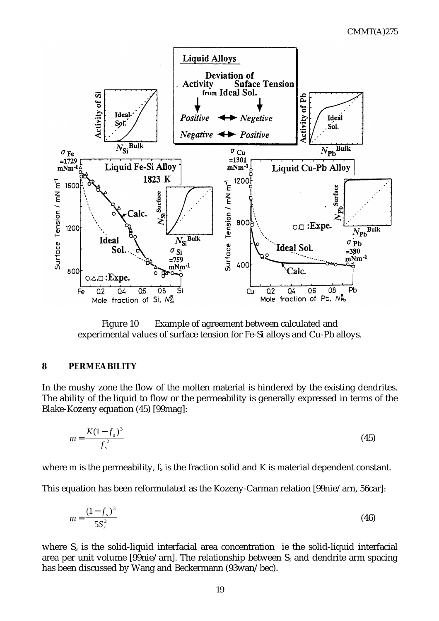![](_page_21_Figure_1.jpeg)

Figure 10 Example of agreement between calculated and experimental values of surface tension for Fe-Si alloys and Cu-Pb alloys.

#### **8 PERMEABILITY**

In the mushy zone the flow of the molten material is hindered by the existing dendrites. The ability of the liquid to flow or the permeability is generally expressed in terms of the Blake-Kozeny equation (45) [99mag]:

$$
m = \frac{K(1 - f_s)^3}{f_s^2} \tag{45}
$$

where  $m$  is the permeability,  $f_s$  is the fraction solid and  $K$  is material dependent constant.

This equation has been reformulated as the Kozeny-Carman relation [99nie/arn, 56car]:

$$
m = \frac{(1 - f_s)^3}{5S_s^2} \tag{46}
$$

where  $S_s$  is the solid-liquid interfacial area concentration ie the solid-liquid interfacial area per unit volume [99nie/arn]. The relationship between Ss and dendrite arm spacing has been discussed by Wang and Beckermann (93wan/bec).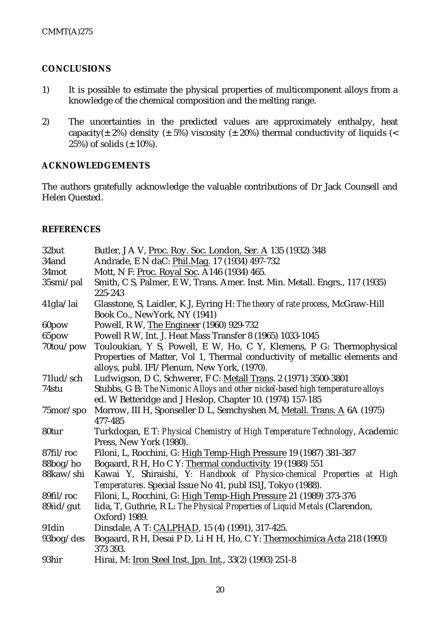## **CONCLUSIONS**

- 1) It is possible to estimate the physical properties of multicomponent alloys from a knowledge of the chemical composition and the melting range.
- 2) The uncertainties in the predicted values are approximately enthalpy, heat capacity( $\pm$  2%) density ( $\pm$  5%) viscosity ( $\pm$  20%) thermal conductivity of liquids (< 25%) of solids  $(\pm 10\%)$ .

#### **ACKNOWLEDGEMENTS**

The authors gratefully acknowledge the valuable contributions of Dr Jack Counsell and Helen Quested.

#### **REFERENCES**

| 32but        | Butler, J A V, Proc. Roy. Soc. London, Ser. A 135 (1932) 348                        |  |
|--------------|-------------------------------------------------------------------------------------|--|
| 34and        | Andrade, E N daC: Phil.Mag. 17 (1934) 497-732                                       |  |
| 34mot        | Mott, N F: Proc. Royal Soc. A146 (1934) 465.                                        |  |
| 35smi/pal    | Smith, C S, Palmer, E W, Trans. Amer. Inst. Min. Metall. Engrs., 117 (1935)         |  |
|              | 225-243                                                                             |  |
| $41$ gla/lai | Glasstone, S, Laidler, K J, Eyring H: The theory of rate process, McGraw-Hill       |  |
|              | Book Co., NewYork, NY (1941)                                                        |  |
| 60pow        | Powell, R W, The Engineer (1960) 929-732                                            |  |
| 65pow        | Powell R W, Int. J. Heat Mass Transfer 8 (1965) 1033-1045                           |  |
| 70tou/pow    | Touloukian, Y S, Powell, E W, Ho, C Y, Klemens, P G: Thermophysical                 |  |
|              | Properties of Matter, Vol 1, Thermal conductivity of metallic elements and          |  |
|              | alloys, publ. IFI/Plenum, New York, (1970).                                         |  |
| 71lud/sch    | Ludwigson, D C, Schwerer, F C: Metall Trans. 2 (1971) 3500-3801                     |  |
| 74stu        | Stubbs, G B: The Nimonic Alloys and other nickel-based high temperature alloys      |  |
|              | ed. W Betteridge and J Heslop, Chapter 10. (1974) 157-185                           |  |
| 75mor/spo    | Morrow, III H, Sponseller D L, Semchyshen M, Metall. Trans. A 6A (1975)             |  |
|              | 477-485                                                                             |  |
| 80tur        | Turkdogan, E T: Physical Chemistry of High Temperature Technology, Academic         |  |
|              | Press, New York (1980).                                                             |  |
| 87fil/roc    | Filoni, L. Rocchini, G: High Temp-High Pressure 19 (1987) 381-387                   |  |
| 88bog/ho     | Bogaard, R H, Ho C Y: Thermal conductivity 19 (1988) 551                            |  |
| 88kaw/shi    | Kawai Y, Shiraishi, Y: Handbook of Physico-chemical Properties at High              |  |
|              | Temperatures. Special Issue No 41, publ IS1J, Tokyo (1988).                         |  |
| 89fil/roc    | Filoni, L. Rocchini, G: High Temp-High Pressure 21 (1989) 373-376                   |  |
| $89$ iid/gut | Iida, T, Guthrie, R L: The Physical Properties of Liquid Metals (Clarendon,         |  |
|              | Oxford) 1989.                                                                       |  |
| 91din        | Dinsdale, A T: CALPHAD, 15 (4) (1991), 317-425.                                     |  |
| 93bog/des    | Bogaard, R H, Desai P D, Li H H, Ho, C Y: Thermochimica Acta 218 (1993)<br>373 393. |  |
| 93hir        | Hirai, M: Iron Steel Inst. Jpn. Int., 33(2) (1993) 251-8                            |  |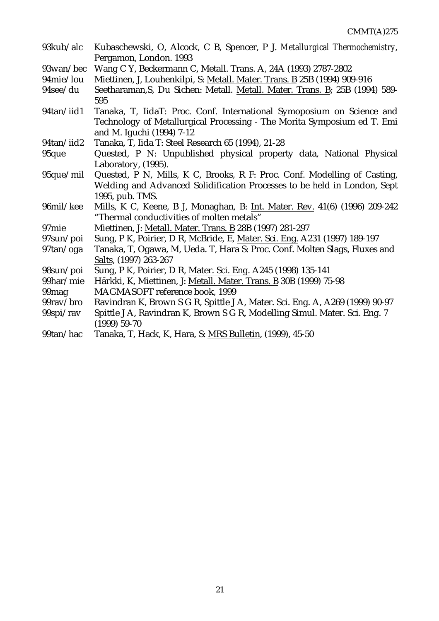| 93kub/alc         | Kubaschewski, O, Alcock, C B, Spencer, P J. Metallurgical Thermochemistry,                                              |
|-------------------|-------------------------------------------------------------------------------------------------------------------------|
| 93wan/bec         | Pergamon, London. 1993<br>Wang C Y, Beckermann C, Metall. Trans. A, 24A (1993) 2787-2802                                |
| 94mie/lou         | Miettinen, J, Louhenkilpi, S: Metall. Mater. Trans. B 25B (1994) 909-916                                                |
| 94see/du          | Seetharaman, S, Du Sichen: Metall. Metall. Mater. Trans. B; 25B (1994) 589-                                             |
|                   | 595                                                                                                                     |
| 94tan/iid1        | Tanaka, T, IidaT: Proc. Conf. International Symoposium on Science and                                                   |
|                   | Technology of Metallurgical Processing - The Morita Symposium ed T. Emi<br>and M. Iguchi (1994) 7-12                    |
| 94tan/iid2        | Tanaka, T, Iida T: Steel Research 65 (1994), 21-28                                                                      |
| 95que             | Quested, P N: Unpublished physical property data, National Physical<br>Laboratory, (1995).                              |
| 95que/mil         | Quested, P N, Mills, K C, Brooks, R F: Proc. Conf. Modelling of Casting,                                                |
|                   | Welding and Advanced Solidification Processes to be held in London, Sept                                                |
|                   | 1995, pub. TMS.                                                                                                         |
| 96mil/kee         | Mills, K C, Keene, B J, Monaghan, B: Int. Mater. Rev. 41(6) (1996) 209-242<br>"Thermal conductivities of molten metals" |
| 97 <sub>mie</sub> | Miettinen, J: Metall. Mater. Trans. B 28B (1997) 281-297                                                                |
| 97sun/poi         | Sung, P K, Poirier, D R, McBride, E, Mater. Sci. Eng. A231 (1997) 189-197                                               |
| 97tan/oga         | Tanaka, T, Ogawa, M, Ueda. T, Hara S: Proc. Conf. Molten Slags, Fluxes and                                              |
|                   | Salts, (1997) 263-267                                                                                                   |
| 98sun/poi         | Sung, P K, Poirier, D R, Mater. Sci. Eng. A245 (1998) 135-141                                                           |
| 99har/mie         | Härkki, K, Miettinen, J: Metall. Mater. Trans. B 30B (1999) 75-98                                                       |
| 99 <sub>mag</sub> | MAGMASOFT reference book, 1999                                                                                          |
| 99rav/bro         | Ravindran K, Brown S G R, Spittle J A, Mater. Sci. Eng. A, A269 (1999) 90-97                                            |
| 99spi/rav         | Spittle J A, Ravindran K, Brown S G R, Modelling Simul. Mater. Sci. Eng. 7<br>$(1999) 59-70$                            |
| 99tan/hac         | Tanaka, T, Hack, K, Hara, S: MRS Bulletin, (1999), 45-50                                                                |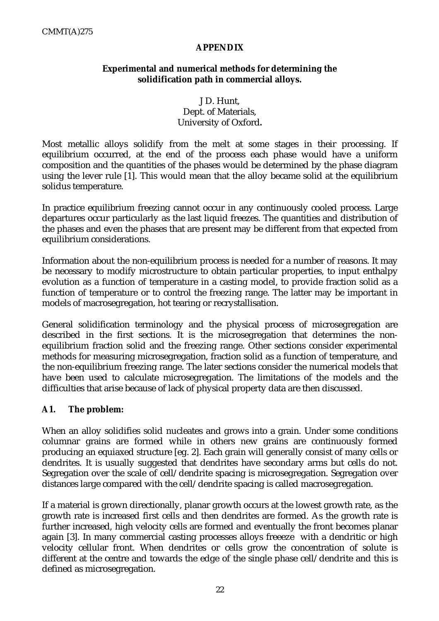## **APPENDIX**

## **Experimental and numerical methods for determining the solidification path in commercial alloys.**

## J D. Hunt, Dept. of Materials, University of Oxford**.**

Most metallic alloys solidify from the melt at some stages in their processing. If equilibrium occurred, at the end of the process each phase would have a uniform composition and the quantities of the phases would be determined by the phase diagram using the lever rule [1]. This would mean that the alloy became solid at the equilibrium solidus temperature.

In practice equilibrium freezing cannot occur in any continuously cooled process. Large departures occur particularly as the last liquid freezes. The quantities and distribution of the phases and even the phases that are present may be different from that expected from equilibrium considerations.

Information about the non-equilibrium process is needed for a number of reasons. It may be necessary to modify microstructure to obtain particular properties, to input enthalpy evolution as a function of temperature in a casting model, to provide fraction solid as a function of temperature or to control the freezing range. The latter may be important in models of macrosegregation, hot tearing or recrystallisation.

General solidification terminology and the physical process of microsegregation are described in the first sections. It is the microsegregation that determines the nonequilibrium fraction solid and the freezing range. Other sections consider experimental methods for measuring microsegregation, fraction solid as a function of temperature, and the non-equilibrium freezing range. The later sections consider the numerical models that have been used to calculate microsegregation. The limitations of the models and the difficulties that arise because of lack of physical property data are then discussed.

## **A1. The problem:**

When an alloy solidifies solid nucleates and grows into a grain. Under some conditions columnar grains are formed while in others new grains are continuously formed producing an equiaxed structure [eg. 2]. Each grain will generally consist of many cells or dendrites. It is usually suggested that dendrites have secondary arms but cells do not. Segregation over the scale of cell/dendrite spacing is microsegregation. Segregation over distances large compared with the cell/dendrite spacing is called macrosegregation.

If a material is grown directionally, planar growth occurs at the lowest growth rate, as the growth rate is increased first cells and then dendrites are formed. As the growth rate is further increased, high velocity cells are formed and eventually the front becomes planar again [3]. In many commercial casting processes alloys freeeze with a dendritic or high velocity cellular front. When dendrites or cells grow the concentration of solute is different at the centre and towards the edge of the single phase cell/dendrite and this is defined as microsegregation.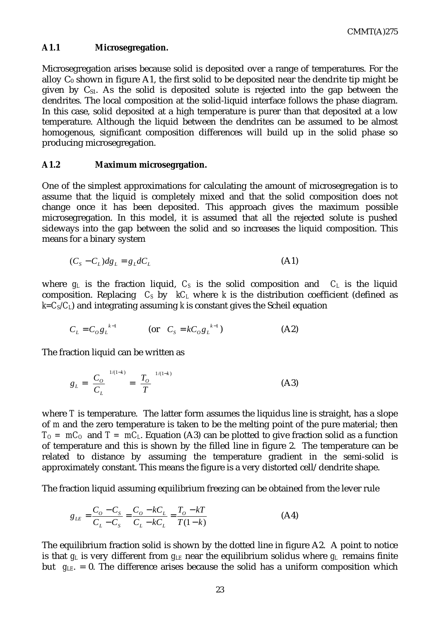#### **A1.1 Microsegregation.**

Microsegregation arises because solid is deposited over a range of temperatures. For the alloy  $C_0$  shown in figure A1, the first solid to be deposited near the dendrite tip might be given by  $C_{S1}$ . As the solid is deposited solute is rejected into the gap between the dendrites. The local composition at the solid-liquid interface follows the phase diagram. In this case, solid deposited at a high temperature is purer than that deposited at a low temperature. Although the liquid between the dendrites can be assumed to be almost homogenous, significant composition differences will build up in the solid phase so producing microsegregation.

#### **A1.2 Maximum microsegrgation.**

One of the simplest approximations for calculating the amount of microsegregation is to assume that the liquid is completely mixed and that the solid composition does not change once it has been deposited. This approach gives the maximum possible microsegregation. In this model, it is assumed that all the rejected solute is pushed sideways into the gap between the solid and so increases the liquid composition. This means for a binary system

$$
(Cs - CL)dgL = gLdCL
$$
 (A1)

where  $g_L$  is the fraction liquid,  $C_S$  is the solid composition and  $C_L$  is the liquid composition. Replacing  $C_S$  by  $kC_L$  where k is the distribution coefficient (defined as  $k = C_s/C_l$ ) and integrating assuming *k* is constant gives the Scheil equation

$$
C_{L} = C_{\partial} g_{L}^{k-1} \qquad \qquad \text{(or} \quad C_{S} = k C_{\partial} g_{L}^{k-1}) \tag{A2}
$$

The fraction liquid can be written as

$$
g_L = \left(\frac{C_o}{C_L}\right)^{1/(1-k)} = \left(\frac{T_o}{T}\right)^{1/(1-k)}
$$
(A3)

where *T* is temperature. The latter form assumes the liquidus line is straight, has a slope of *m* and the zero temperature is taken to be the melting point of the pure material; then  $T<sub>O</sub> = mC<sub>O</sub>$  and  $T = mC<sub>L</sub>$ . Equation (A3) can be plotted to give fraction solid as a function of temperature and this is shown by the filled line in figure 2. The temperature can be related to distance by assuming the temperature gradient in the semi-solid is approximately constant. This means the figure is a very distorted cell/dendrite shape.

The fraction liquid assuming equilibrium freezing can be obtained from the lever rule

$$
g_{LE} = \frac{C_O - C_S}{C_L - C_S} = \frac{C_O - kC_L}{C_L - kC_L} = \frac{T_O - kT}{T(1 - k)}
$$
(A4)

The equilibrium fraction solid is shown by the dotted line in figure A2. A point to notice is that  $g_L$  is very different from  $g_{LE}$  near the equilibrium solidus where  $g_L$  remains finite but *gLE*. = 0. The difference arises because the solid has a uniform composition which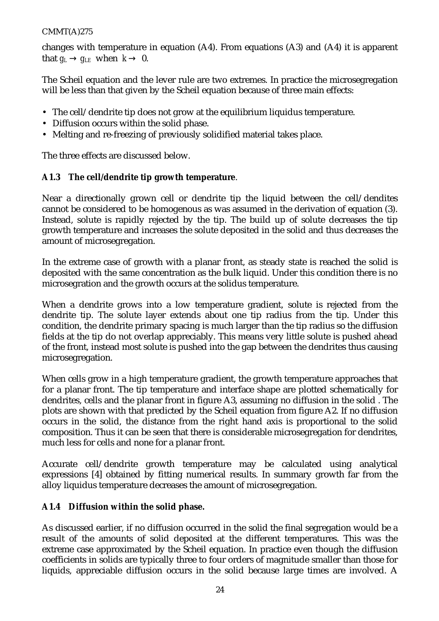changes with temperature in equation (A4). From equations (A3) and (A4) it is apparent that  $g_L \rightarrow g_{LE}$  when  $k \rightarrow 0$ .

The Scheil equation and the lever rule are two extremes. In practice the microsegregation will be less than that given by the Scheil equation because of three main effects:

- The cell/dendrite tip does not grow at the equilibrium liquidus temperature.
- Diffusion occurs within the solid phase.
- Melting and re-freezing of previously solidified material takes place.

The three effects are discussed below.

## **A1.3 The cell/dendrite tip growth temperature**.

Near a directionally grown cell or dendrite tip the liquid between the cell/dendites cannot be considered to be homogenous as was assumed in the derivation of equation (3). Instead, solute is rapidly rejected by the tip. The build up of solute decreases the tip growth temperature and increases the solute deposited in the solid and thus decreases the amount of microsegregation.

In the extreme case of growth with a planar front, as steady state is reached the solid is deposited with the same concentration as the bulk liquid. Under this condition there is no microsegration and the growth occurs at the solidus temperature.

When a dendrite grows into a low temperature gradient, solute is rejected from the dendrite tip. The solute layer extends about one tip radius from the tip. Under this condition, the dendrite primary spacing is much larger than the tip radius so the diffusion fields at the tip do not overlap appreciably. This means very little solute is pushed ahead of the front, instead most solute is pushed into the gap between the dendrites thus causing microsegregation.

When cells grow in a high temperature gradient, the growth temperature approaches that for a planar front. The tip temperature and interface shape are plotted schematically for dendrites, cells and the planar front in figure A3, assuming no diffusion in the solid . The plots are shown with that predicted by the Scheil equation from figure A2. If no diffusion occurs in the solid, the distance from the right hand axis is proportional to the solid composition. Thus it can be seen that there is considerable microsegregation for dendrites, much less for cells and none for a planar front.

Accurate cell/dendrite growth temperature may be calculated using analytical expressions [4] obtained by fitting numerical results. In summary growth far from the alloy liquidus temperature decreases the amount of microsegregation.

## **A1.4 Diffusion within the solid phase.**

As discussed earlier, if no diffusion occurred in the solid the final segregation would be a result of the amounts of solid deposited at the different temperatures. This was the extreme case approximated by the Scheil equation. In practice even though the diffusion coefficients in solids are typically three to four orders of magnitude smaller than those for liquids, appreciable diffusion occurs in the solid because large times are involved. A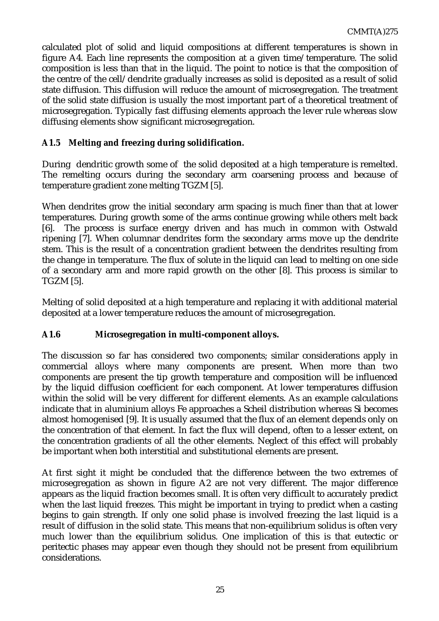calculated plot of solid and liquid compositions at different temperatures is shown in figure A4. Each line represents the composition at a given time/temperature. The solid composition is less than that in the liquid. The point to notice is that the composition of the centre of the cell/dendrite gradually increases as solid is deposited as a result of solid state diffusion. This diffusion will reduce the amount of microsegregation. The treatment of the solid state diffusion is usually the most important part of a theoretical treatment of microsegregation. Typically fast diffusing elements approach the lever rule whereas slow diffusing elements show significant microsegregation.

## **A1.5 Melting and freezing during solidification.**

During dendritic growth some of the solid deposited at a high temperature is remelted. The remelting occurs during the secondary arm coarsening process and because of temperature gradient zone melting TGZM [5].

When dendrites grow the initial secondary arm spacing is much finer than that at lower temperatures. During growth some of the arms continue growing while others melt back [6]. The process is surface energy driven and has much in common with Ostwald ripening [7]. When columnar dendrites form the secondary arms move up the dendrite stem. This is the result of a concentration gradient between the dendrites resulting from the change in temperature. The flux of solute in the liquid can lead to melting on one side of a secondary arm and more rapid growth on the other [8]. This process is similar to TGZM [5].

Melting of solid deposited at a high temperature and replacing it with additional material deposited at a lower temperature reduces the amount of microsegregation.

#### **A1.6 Microsegregation in multi-component alloys.**

The discussion so far has considered two components; similar considerations apply in commercial alloys where many components are present. When more than two components are present the tip growth temperature and composition will be influenced by the liquid diffusion coefficient for each component. At lower temperatures diffusion within the solid will be very different for different elements. As an example calculations indicate that in aluminium alloys Fe approaches a Scheil distribution whereas Si becomes almost homogenised [9]. It is usually assumed that the flux of an element depends only on the concentration of that element. In fact the flux will depend, often to a lesser extent, on the concentration gradients of all the other elements. Neglect of this effect will probably be important when both interstitial and substitutional elements are present.

At first sight it might be concluded that the difference between the two extremes of microsegregation as shown in figure A2 are not very different. The major difference appears as the liquid fraction becomes small. It is often very difficult to accurately predict when the last liquid freezes. This might be important in trying to predict when a casting begins to gain strength. If only one solid phase is involved freezing the last liquid is a result of diffusion in the solid state. This means that non-equilibrium solidus is often very much lower than the equilibrium solidus. One implication of this is that eutectic or peritectic phases may appear even though they should not be present from equilibrium considerations.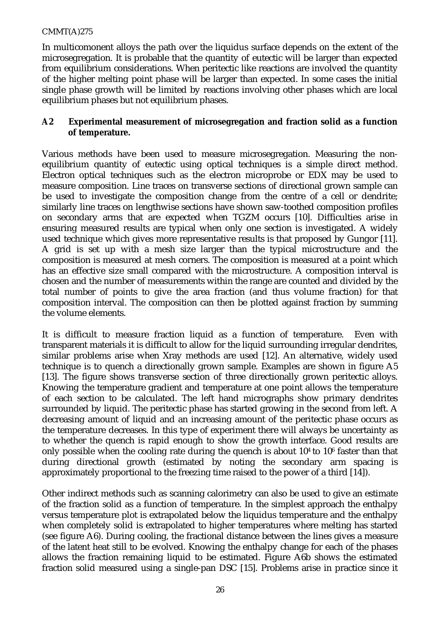In multicomonent alloys the path over the liquidus surface depends on the extent of the microsegregation. It is probable that the quantity of eutectic will be larger than expected from equilibrium considerations. When peritectic like reactions are involved the quantity of the higher melting point phase will be larger than expected. In some cases the initial single phase growth will be limited by reactions involving other phases which are local equilibrium phases but not equilibrium phases.

## **A2 Experimental measurement of microsegregation and fraction solid as a function of temperature.**

Various methods have been used to measure microsegregation. Measuring the nonequilibrium quantity of eutectic using optical techniques is a simple direct method. Electron optical techniques such as the electron microprobe or EDX may be used to measure composition. Line traces on transverse sections of directional grown sample can be used to investigate the composition change from the centre of a cell or dendrite; similarly line traces on lengthwise sections have shown saw-toothed composition profiles on secondary arms that are expected when TGZM occurs [10]. Difficulties arise in ensuring measured results are typical when only one section is investigated. A widely used technique which gives more representative results is that proposed by Gungor [11]. A grid is set up with a mesh size larger than the typical microstructure and the composition is measured at mesh corners. The composition is measured at a point which has an effective size small compared with the microstructure. A composition interval is chosen and the number of measurements within the range are counted and divided by the total number of points to give the area fraction (and thus volume fraction) for that composition interval. The composition can then be plotted against fraction by summing the volume elements.

It is difficult to measure fraction liquid as a function of temperature. Even with transparent materials it is difficult to allow for the liquid surrounding irregular dendrites, similar problems arise when Xray methods are used [12]. An alternative, widely used technique is to quench a directionally grown sample. Examples are shown in figure A5 [13]. The figure shows transverse section of three directionally grown peritectic alloys. Knowing the temperature gradient and temperature at one point allows the temperature of each section to be calculated. The left hand micrographs show primary dendrites surrounded by liquid. The peritectic phase has started growing in the second from left. A decreasing amount of liquid and an increasing amount of the peritectic phase occurs as the temperature decreases. In this type of experiment there will always be uncertainty as to whether the quench is rapid enough to show the growth interface. Good results are only possible when the cooling rate during the quench is about  $10<sup>4</sup>$  to  $10<sup>6</sup>$  faster than that during directional growth (estimated by noting the secondary arm spacing is approximately proportional to the freezing time raised to the power of a third [14]).

Other indirect methods such as scanning calorimetry can also be used to give an estimate of the fraction solid as a function of temperature. In the simplest approach the enthalpy versus temperature plot is extrapolated below the liquidus temperature and the enthalpy when completely solid is extrapolated to higher temperatures where melting has started (see figure A6). During cooling, the fractional distance between the lines gives a measure of the latent heat still to be evolved. Knowing the enthalpy change for each of the phases allows the fraction remaining liquid to be estimated. Figure A6b shows the estimated fraction solid measured using a single-pan DSC [15]. Problems arise in practice since it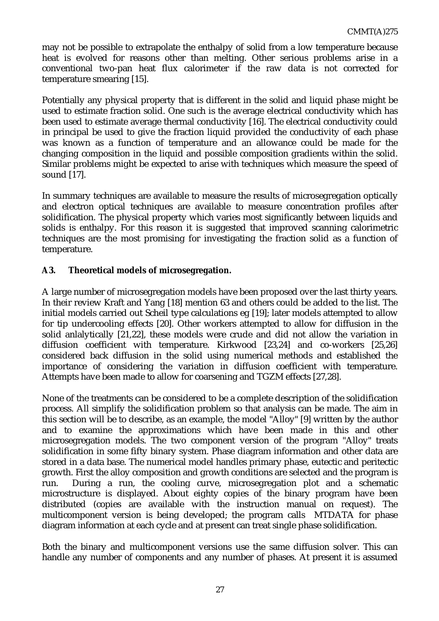may not be possible to extrapolate the enthalpy of solid from a low temperature because heat is evolved for reasons other than melting. Other serious problems arise in a conventional two-pan heat flux calorimeter if the raw data is not corrected for temperature smearing [15].

Potentially any physical property that is different in the solid and liquid phase might be used to estimate fraction solid. One such is the average electrical conductivity which has been used to estimate average thermal conductivity [16]. The electrical conductivity could in principal be used to give the fraction liquid provided the conductivity of each phase was known as a function of temperature and an allowance could be made for the changing composition in the liquid and possible composition gradients within the solid. Similar problems might be expected to arise with techniques which measure the speed of sound [17].

In summary techniques are available to measure the results of microsegregation optically and electron optical techniques are available to measure concentration profiles after solidification. The physical property which varies most significantly between liquids and solids is enthalpy. For this reason it is suggested that improved scanning calorimetric techniques are the most promising for investigating the fraction solid as a function of temperature.

## **A3. Theoretical models of microsegregation.**

A large number of microsegregation models have been proposed over the last thirty years. In their review Kraft and Yang [18] mention 63 and others could be added to the list. The initial models carried out Scheil type calculations eg [19]; later models attempted to allow for tip undercooling effects [20]. Other workers attempted to allow for diffusion in the solid anlalytically [21,22], these models were crude and did not allow the variation in diffusion coefficient with temperature. Kirkwood [23,24] and co-workers [25,26] considered back diffusion in the solid using numerical methods and established the importance of considering the variation in diffusion coefficient with temperature. Attempts have been made to allow for coarsening and TGZM effects [27,28].

None of the treatments can be considered to be a complete description of the solidification process. All simplify the solidification problem so that analysis can be made. The aim in this section will be to describe, as an example, the model "Alloy" [9] written by the author and to examine the approximations which have been made in this and other microsegregation models. The two component version of the program "Alloy" treats solidification in some fifty binary system. Phase diagram information and other data are stored in a data base. The numerical model handles primary phase, eutectic and peritectic growth. First the alloy composition and growth conditions are selected and the program is run. During a run, the cooling curve, microsegregation plot and a schematic microstructure is displayed. About eighty copies of the binary program have been distributed (copies are available with the instruction manual on request). The multicomponent version is being developed; the program calls MTDATA for phase diagram information at each cycle and at present can treat single phase solidification.

Both the binary and multicomponent versions use the same diffusion solver. This can handle any number of components and any number of phases. At present it is assumed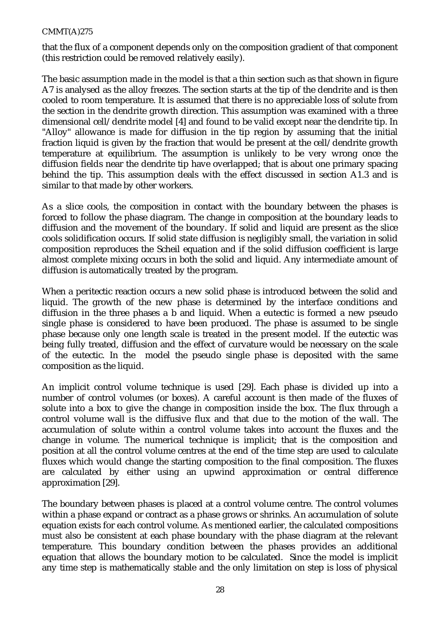that the flux of a component depends only on the composition gradient of that component (this restriction could be removed relatively easily).

The basic assumption made in the model is that a thin section such as that shown in figure A7 is analysed as the alloy freezes. The section starts at the tip of the dendrite and is then cooled to room temperature. It is assumed that there is no appreciable loss of solute from the section in the dendrite growth direction. This assumption was examined with a three dimensional cell/dendrite model [4] and found to be valid except near the dendrite tip. In "Alloy" allowance is made for diffusion in the tip region by assuming that the initial fraction liquid is given by the fraction that would be present at the cell/dendrite growth temperature at equilibrium. The assumption is unlikely to be very wrong once the diffusion fields near the dendrite tip have overlapped; that is about one primary spacing behind the tip. This assumption deals with the effect discussed in section A1.3 and is similar to that made by other workers.

As a slice cools, the composition in contact with the boundary between the phases is forced to follow the phase diagram. The change in composition at the boundary leads to diffusion and the movement of the boundary. If solid and liquid are present as the slice cools solidification occurs. If solid state diffusion is negligibly small, the variation in solid composition reproduces the Scheil equation and if the solid diffusion coefficient is large almost complete mixing occurs in both the solid and liquid. Any intermediate amount of diffusion is automatically treated by the program.

When a peritectic reaction occurs a new solid phase is introduced between the solid and liquid. The growth of the new phase is determined by the interface conditions and diffusion in the three phases a b and liquid. When a eutectic is formed a new pseudo single phase is considered to have been produced. The phase is assumed to be single phase because only one length scale is treated in the present model. If the eutectic was being fully treated, diffusion and the effect of curvature would be necessary on the scale of the eutectic. In the model the pseudo single phase is deposited with the same composition as the liquid.

An implicit control volume technique is used [29]. Each phase is divided up into a number of control volumes (or boxes). A careful account is then made of the fluxes of solute into a box to give the change in composition inside the box. The flux through a control volume wall is the diffusive flux and that due to the motion of the wall. The accumulation of solute within a control volume takes into account the fluxes and the change in volume. The numerical technique is implicit; that is the composition and position at all the control volume centres at the end of the time step are used to calculate fluxes which would change the starting composition to the final composition. The fluxes are calculated by either using an upwind approximation or central difference approximation [29].

The boundary between phases is placed at a control volume centre. The control volumes within a phase expand or contract as a phase grows or shrinks. An accumulation of solute equation exists for each control volume. As mentioned earlier, the calculated compositions must also be consistent at each phase boundary with the phase diagram at the relevant temperature. This boundary condition between the phases provides an additional equation that allows the boundary motion to be calculated. Since the model is implicit any time step is mathematically stable and the only limitation on step is loss of physical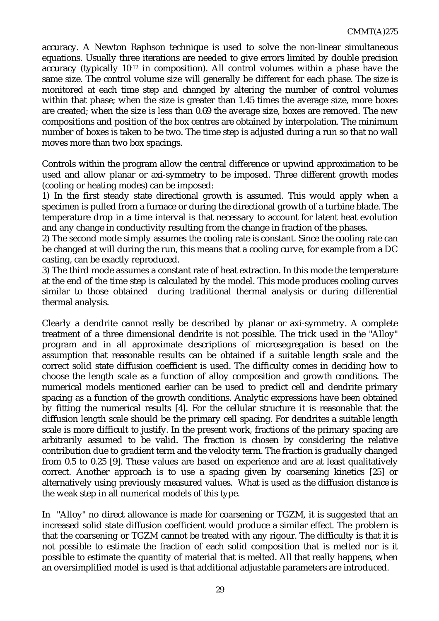accuracy. A Newton Raphson technique is used to solve the non-linear simultaneous equations. Usually three iterations are needed to give errors limited by double precision accuracy (typically 10-12 in composition). All control volumes within a phase have the same size. The control volume size will generally be different for each phase. The size is monitored at each time step and changed by altering the number of control volumes within that phase; when the size is greater than 1.45 times the average size, more boxes are created; when the size is less than 0.69 the average size, boxes are removed. The new compositions and position of the box centres are obtained by interpolation. The minimum number of boxes is taken to be two. The time step is adjusted during a run so that no wall moves more than two box spacings.

Controls within the program allow the central difference or upwind approximation to be used and allow planar or axi-symmetry to be imposed. Three different growth modes (cooling or heating modes) can be imposed:

1) In the first steady state directional growth is assumed. This would apply when a specimen is pulled from a furnace or during the directional growth of a turbine blade. The temperature drop in a time interval is that necessary to account for latent heat evolution and any change in conductivity resulting from the change in fraction of the phases.

2) The second mode simply assumes the cooling rate is constant. Since the cooling rate can be changed at will during the run, this means that a cooling curve, for example from a DC casting, can be exactly reproduced.

3) The third mode assumes a constant rate of heat extraction. In this mode the temperature at the end of the time step is calculated by the model. This mode produces cooling curves similar to those obtained during traditional thermal analysis or during differential thermal analysis.

Clearly a dendrite cannot really be described by planar or axi-symmetry. A complete treatment of a three dimensional dendrite is not possible. The trick used in the "Alloy" program and in all approximate descriptions of microsegregation is based on the assumption that reasonable results can be obtained if a suitable length scale and the correct solid state diffusion coefficient is used. The difficulty comes in deciding how to choose the length scale as a function of alloy composition and growth conditions. The numerical models mentioned earlier can be used to predict cell and dendrite primary spacing as a function of the growth conditions. Analytic expressions have been obtained by fitting the numerical results [4]. For the cellular structure it is reasonable that the diffusion length scale should be the primary cell spacing. For dendrites a suitable length scale is more difficult to justify. In the present work, fractions of the primary spacing are arbitrarily assumed to be valid. The fraction is chosen by considering the relative contribution due to gradient term and the velocity term. The fraction is gradually changed from 0.5 to 0.25 [9]. These values are based on experience and are at least qualitatively correct. Another approach is to use a spacing given by coarsening kinetics [25] or alternatively using previously measured values. What is used as the diffusion distance is the weak step in all numerical models of this type.

In "Alloy" no direct allowance is made for coarsening or TGZM, it is suggested that an increased solid state diffusion coefficient would produce a similar effect. The problem is that the coarsening or TGZM cannot be treated with any rigour. The difficulty is that it is not possible to estimate the fraction of each solid composition that is melted nor is it possible to estimate the quantity of material that is melted. All that really happens, when an oversimplified model is used is that additional adjustable parameters are introduced.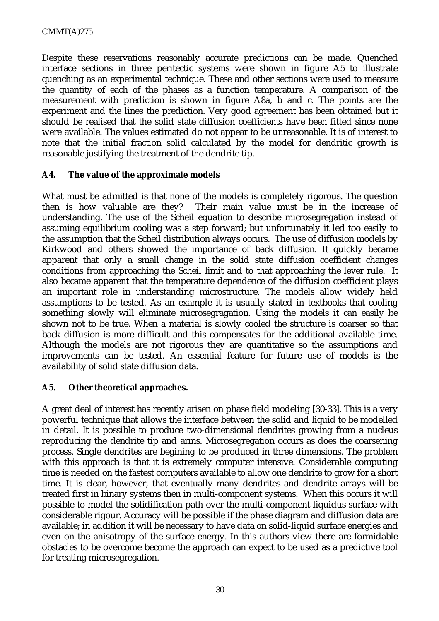Despite these reservations reasonably accurate predictions can be made. Quenched interface sections in three peritectic systems were shown in figure A5 to illustrate quenching as an experimental technique. These and other sections were used to measure the quantity of each of the phases as a function temperature. A comparison of the measurement with prediction is shown in figure A8a, b and c. The points are the experiment and the lines the prediction. Very good agreement has been obtained but it should be realised that the solid state diffusion coefficients have been fitted since none were available. The values estimated do not appear to be unreasonable. It is of interest to note that the initial fraction solid calculated by the model for dendritic growth is reasonable justifying the treatment of the dendrite tip.

#### **A4. The value of the approximate models**

What must be admitted is that none of the models is completely rigorous. The question then is how valuable are they? Their main value must be in the increase of understanding. The use of the Scheil equation to describe microsegregation instead of assuming equilibrium cooling was a step forward; but unfortunately it led too easily to the assumption that the Scheil distribution always occurs. The use of diffusion models by Kirkwood and others showed the importance of back diffusion. It quickly became apparent that only a small change in the solid state diffusion coefficient changes conditions from approaching the Scheil limit and to that approaching the lever rule. It also became apparent that the temperature dependence of the diffusion coefficient plays an important role in understanding microstructure. The models allow widely held assumptions to be tested. As an example it is usually stated in textbooks that cooling something slowly will eliminate microsegragation. Using the models it can easily be shown not to be true. When a material is slowly cooled the structure is coarser so that back diffusion is more difficult and this compensates for the additional available time. Although the models are not rigorous they are quantitative so the assumptions and improvements can be tested. An essential feature for future use of models is the availability of solid state diffusion data.

## **A5. Other theoretical approaches.**

A great deal of interest has recently arisen on phase field modeling [30-33]. This is a very powerful technique that allows the interface between the solid and liquid to be modelled in detail. It is possible to produce two-dimensional dendrites growing from a nucleus reproducing the dendrite tip and arms. Microsegregation occurs as does the coarsening process. Single dendrites are begining to be produced in three dimensions. The problem with this approach is that it is extremely computer intensive. Considerable computing time is needed on the fastest computers available to allow one dendrite to grow for a short time. It is clear, however, that eventually many dendrites and dendrite arrays will be treated first in binary systems then in multi-component systems. When this occurs it will possible to model the solidification path over the multi-component liquidus surface with considerable rigour. Accuracy will be possible if the phase diagram and diffusion data are available; in addition it will be necessary to have data on solid-liquid surface energies and even on the anisotropy of the surface energy. In this authors view there are formidable obstacles to be overcome become the approach can expect to be used as a predictive tool for treating microsegregation.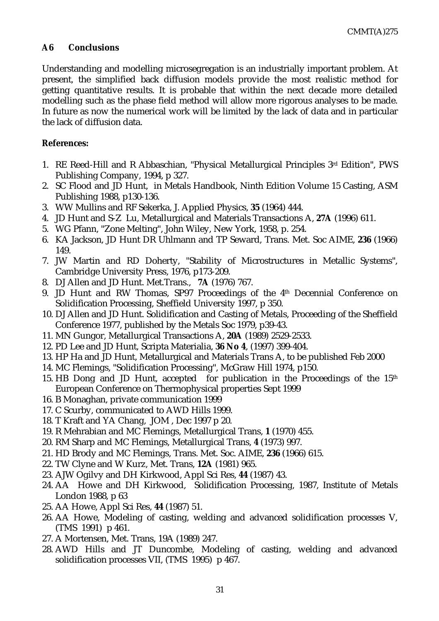## **A6 Conclusions**

Understanding and modelling microsegregation is an industrially important problem. At present, the simplified back diffusion models provide the most realistic method for getting quantitative results. It is probable that within the next decade more detailed modelling such as the phase field method will allow more rigorous analyses to be made. In future as now the numerical work will be limited by the lack of data and in particular the lack of diffusion data.

#### **References:**

- 1. RE Reed-Hill and R Abbaschian, "Physical Metallurgical Principles 3rd Edition", PWS Publishing Company, 1994, p 327.
- 2. SC Flood and JD Hunt, in Metals Handbook, Ninth Edition Volume 15 Casting, ASM Publishing 1988, p130-136.
- 3. WW Mullins and RF Sekerka, J. Applied Physics, **35** (1964) 444.
- 4. JD Hunt and S-Z Lu, Metallurgical and Materials Transactions A, **27A** (1996) 611.
- 5. WG Pfann, "Zone Melting", John Wiley, New York, 1958, p. 254.
- 6. KA Jackson, JD Hunt DR Uhlmann and TP Seward, Trans. Met. Soc AIME, **236** (1966) 149.
- 7. JW Martin and RD Doherty, "Stability of Microstructures in Metallic Systems", Cambridge University Press, 1976, p173-209.
- 8. DJ Allen and JD Hunt. Met.Trans., **7A** (1976) 767.
- 9. JD Hunt and RW Thomas, SP97 Proceedings of the 4th Decennial Conference on Solidification Processing, Sheffield University 1997, p 350.
- 10. DJ Allen and JD Hunt. Solidification and Casting of Metals, Proceeding of the Sheffield Conference 1977, published by the Metals Soc 1979, p39-43.
- 11. MN Gungor, Metallurgical Transactions A, **20A** (1989) 2529-2533.
- 12. PD Lee and JD Hunt, Scripta Materialia, **36 No 4**, (1997) 399-404.
- 13. HP Ha and JD Hunt, Metallurgical and Materials Trans A, to be published Feb 2000
- 14. MC Flemings, "Solidification Processing", McGraw Hill 1974, p150.
- 15. HB Dong and JD Hunt, accepted for publication in the Proceedings of the 15th European Conference on Thermophysical properties Sept 1999
- 16. B Monaghan, private communication 1999
- 17. C Scurby, communicated to AWD Hills 1999.
- 18. T Kraft and YA Chang, JOM , Dec 1997 p 20.
- 19. R Mehrabian and MC Flemings, Metallurgical Trans, **1** (1970) 455.
- 20. RM Sharp and MC Flemings, Metallurgical Trans, **4** (1973) 997.
- 21. HD Brody and MC Flemings, Trans. Met. Soc. AIME, **236** (1966) 615.
- 22. TW Clyne and W Kurz, Met. Trans, **12A** (1981) 965.
- 23. AJW Ogilvy and DH Kirkwood, Appl Sci Res, **44** (1987) 43.
- 24. AA Howe and DH Kirkwood, Solidification Processing, 1987, Institute of Metals London 1988, p 63
- 25. AA Howe, Appl Sci Res, **44** (1987) 51.
- 26. AA Howe, Modeling of casting, welding and advanced solidification processes V, (TMS 1991) p 461.
- 27. A Mortensen, Met. Trans, 19A (1989) 247.
- 28. AWD Hills and JT Duncombe, Modeling of casting, welding and advanced solidification processes VII, (TMS 1995) p 467.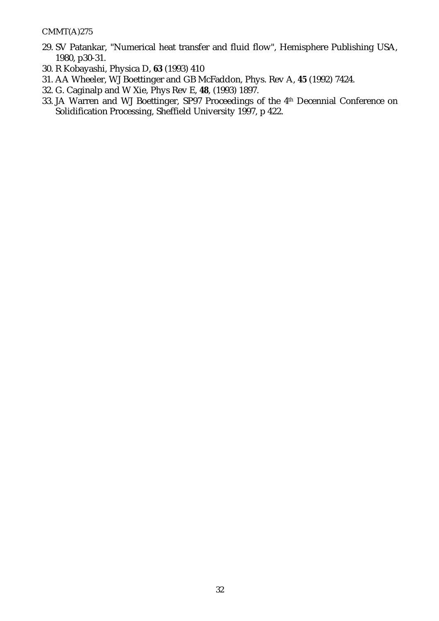- 29. SV Patankar, "Numerical heat transfer and fluid flow", Hemisphere Publishing USA, 1980, p30-31.
- 30. R Kobayashi, Physica D, **63** (1993) 410
- 31. AA Wheeler, WJ Boettinger and GB McFaddon, Phys. Rev A, **45** (1992) 7424.
- 32. G. Caginalp and W Xie, Phys Rev E, **48**, (1993) 1897.
- 33. JA Warren and WJ Boettinger, SP97 Proceedings of the 4th Decennial Conference on Solidification Processing, Sheffield University 1997, p 422.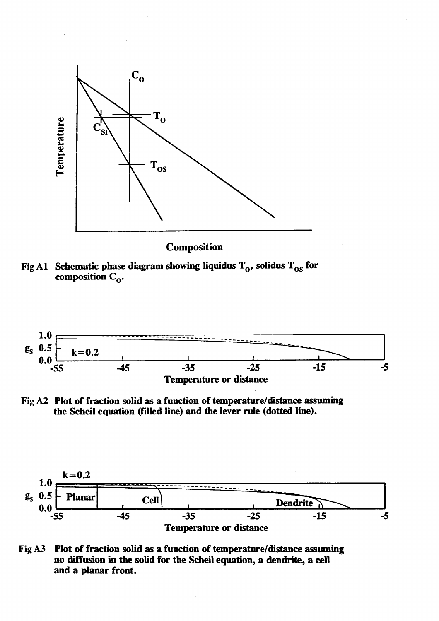![](_page_35_Figure_0.jpeg)

Composition

![](_page_35_Figure_2.jpeg)

![](_page_35_Figure_3.jpeg)

![](_page_35_Figure_4.jpeg)

![](_page_35_Figure_5.jpeg)

![](_page_35_Figure_6.jpeg)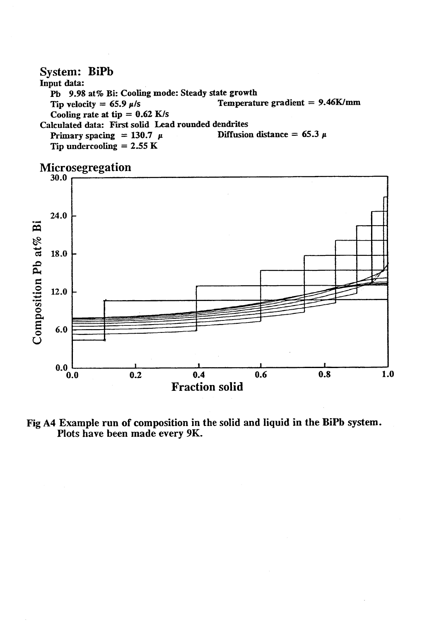#### System: BiPb Input data: Pb 9.98 at % Bi: Cooling mode: Steady state growth Temperature gradient  $= 9.46$ K/mm Tip velocity = 65.9  $\mu$ /s Cooling rate at tip =  $0.62$  K/s Calculated data: First solid Lead rounded dendrites Diffusion distance = 65.3  $\mu$ Primary spacing = 130.7  $\mu$ Tip undercooling  $= 2.55 \text{ K}$

![](_page_36_Figure_1.jpeg)

Fig A4 Example run of composition in the solid and liquid in the BiPb system. Plots have been made every 9K.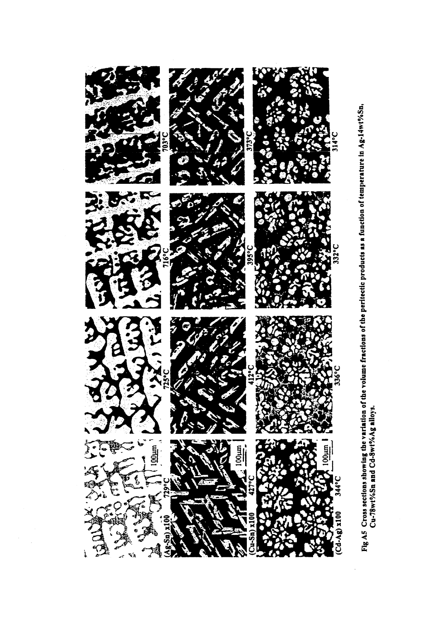![](_page_37_Figure_0.jpeg)

![](_page_37_Figure_1.jpeg)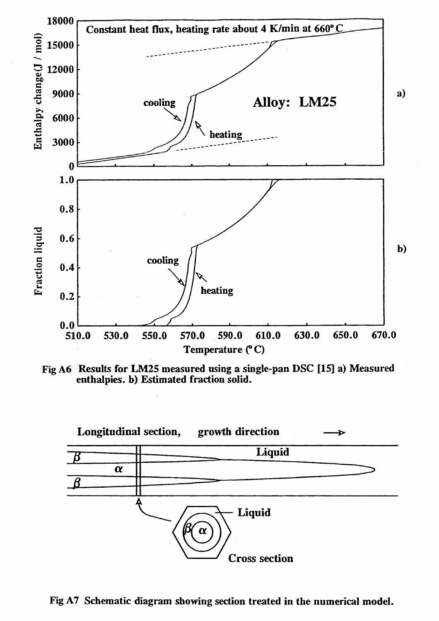![](_page_38_Figure_0.jpeg)

Fig A6 Results for LM25 measured using a single-pan DSC [15] a) Measured enthalpies. b) Estimated fraction solid.

![](_page_38_Figure_2.jpeg)

Fig A7 Schematic diagram showing section treated in the numerical model.